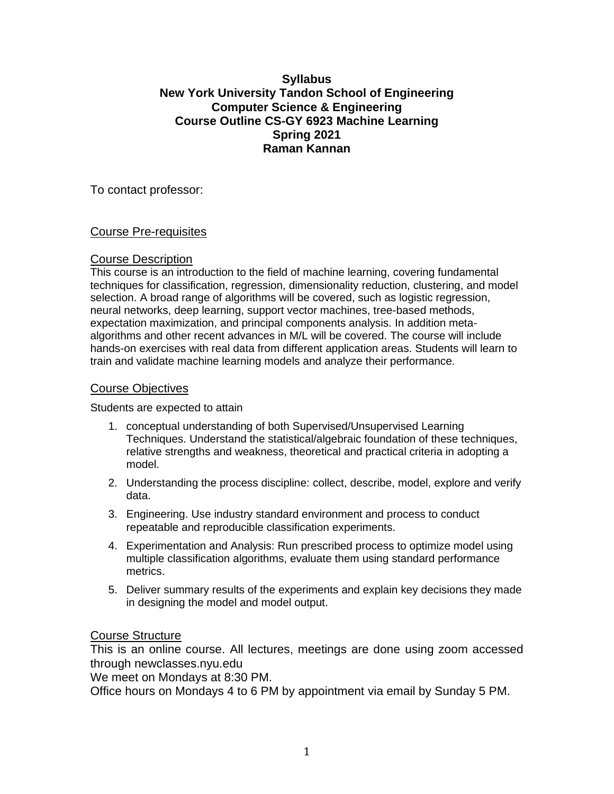# **Syllabus New York University Tandon School of Engineering Computer Science & Engineering Course Outline CS-GY 6923 Machine Learning Spring 2021 Raman Kannan**

To contact professor:

# Course Pre-requisites

# Course Description

This course is an introduction to the field of machine learning, covering fundamental techniques for classification, regression, dimensionality reduction, clustering, and model selection. A broad range of algorithms will be covered, such as logistic regression, neural networks, deep learning, support vector machines, tree-based methods, expectation maximization, and principal components analysis. In addition metaalgorithms and other recent advances in M/L will be covered. The course will include hands-on exercises with real data from different application areas. Students will learn to train and validate machine learning models and analyze their performance.

# Course Objectives

Students are expected to attain

- 1. conceptual understanding of both Supervised/Unsupervised Learning Techniques. Understand the statistical/algebraic foundation of these techniques, relative strengths and weakness, theoretical and practical criteria in adopting a model.
- 2. Understanding the process discipline: collect, describe, model, explore and verify data.
- 3. Engineering. Use industry standard environment and process to conduct repeatable and reproducible classification experiments.
- 4. Experimentation and Analysis: Run prescribed process to optimize model using multiple classification algorithms, evaluate them using standard performance metrics.
- 5. Deliver summary results of the experiments and explain key decisions they made in designing the model and model output.

# Course Structure

This is an online course. All lectures, meetings are done using zoom accessed through newclasses.nyu.edu

We meet on Mondays at 8:30 PM.

Office hours on Mondays 4 to 6 PM by appointment via email by Sunday 5 PM.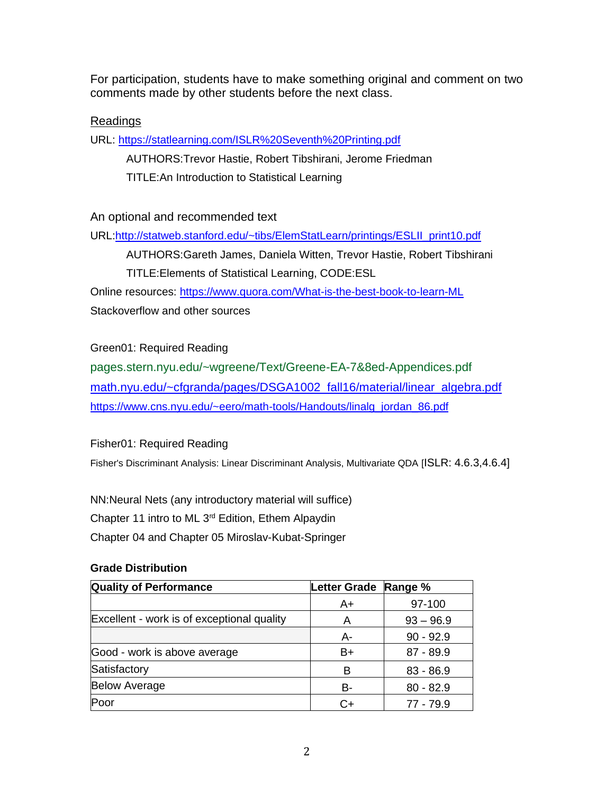For participation, students have to make something original and comment on two comments made by other students before the next class.

# Readings

URL: <https://statlearning.com/ISLR%20Seventh%20Printing.pdf>

AUTHORS:Trevor Hastie, Robert Tibshirani, Jerome Friedman TITLE:An Introduction to Statistical Learning

# An optional and recommended text

URL[:http://statweb.stanford.edu/~tibs/ElemStatLearn/printings/ESLII\\_print10.pdf](http://statweb.stanford.edu/~tibs/ElemStatLearn/printings/ESLII_print10.pdf)

AUTHORS:Gareth James, Daniela Witten, Trevor Hastie, Robert Tibshirani TITLE:Elements of Statistical Learning, CODE:ESL

Online resources:<https://www.quora.com/What-is-the-best-book-to-learn-ML> Stackoverflow and other sources

### Green01: Required Reading

pages.stern.nyu.edu/~wgreene/Text/Greene-EA-7&8ed-Appendices.pdf [math.nyu.edu/~cfgranda/pages/DSGA1002\\_fall16/material/linear\\_algebra.pdf](https://math.nyu.edu/~cfgranda/pages/DSGA1002_fall16/material/linear_algebra.pdf) [https://www.cns.nyu.edu/~eero/math-tools/Handouts/linalg\\_jordan\\_86.pdf](https://www.cns.nyu.edu/~eero/math-tools/Handouts/linalg_jordan_86.pdf)

### Fisher01: Required Reading

Fisher's Discriminant Analysis: Linear Discriminant Analysis, Multivariate QDA [ISLR: 4.6.3,4.6.4]

NN:Neural Nets (any introductory material will suffice) Chapter 11 intro to ML 3rd Edition, Ethem Alpaydin Chapter 04 and Chapter 05 Miroslav-Kubat-Springer

# **Quality of Performance Letter Grade Range %** A+ 97-100 Excellent - work is of exceptional quality  $\begin{array}{|c|c|c|c|c|c|}\n\hline\nA & 93 - 96.9 \\
\hline\n\end{array}$ A- 90 - 92.9 Good - work is above average  $\vert$  B+  $\vert$  87 - 89.9 Satisfactory B 83 - 86.9 Below Average B- 80 - 82.9 Poor C+ 77 - 79.9

### **Grade Distribution**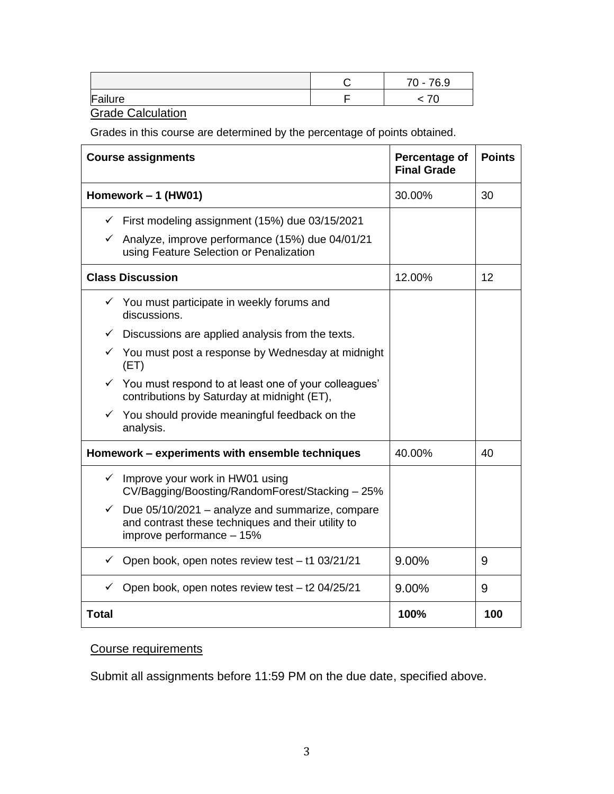|         | 76.9<br>$70 -$ |
|---------|----------------|
| Failure |                |

**Grade Calculation** 

Grades in this course are determined by the percentage of points obtained.

| <b>Course assignments</b>                                                                                                                          | Percentage of<br><b>Final Grade</b> | <b>Points</b> |
|----------------------------------------------------------------------------------------------------------------------------------------------------|-------------------------------------|---------------|
| Homework - 1 (HW01)                                                                                                                                | 30.00%                              | 30            |
| $\checkmark$ First modeling assignment (15%) due 03/15/2021                                                                                        |                                     |               |
| $\checkmark$ Analyze, improve performance (15%) due 04/01/21<br>using Feature Selection or Penalization                                            |                                     |               |
| <b>Class Discussion</b>                                                                                                                            | 12.00%                              | 12            |
| $\checkmark$ You must participate in weekly forums and<br>discussions.                                                                             |                                     |               |
| $\checkmark$ Discussions are applied analysis from the texts.                                                                                      |                                     |               |
| $\checkmark$ You must post a response by Wednesday at midnight<br>(ET)                                                                             |                                     |               |
| $\checkmark$ You must respond to at least one of your colleagues'<br>contributions by Saturday at midnight (ET),                                   |                                     |               |
| $\checkmark$ You should provide meaningful feedback on the<br>analysis.                                                                            |                                     |               |
| Homework - experiments with ensemble techniques                                                                                                    | 40.00%                              | 40            |
| $\checkmark$ Improve your work in HW01 using<br>CV/Bagging/Boosting/RandomForest/Stacking - 25%                                                    |                                     |               |
| Due 05/10/2021 - analyze and summarize, compare<br>$\checkmark$<br>and contrast these techniques and their utility to<br>improve performance - 15% |                                     |               |
| Open book, open notes review test - t1 03/21/21<br>✓                                                                                               | 9.00%                               | 9             |
| Open book, open notes review test - t2 04/25/21<br>$\checkmark$                                                                                    | 9.00%                               | 9             |
| <b>Total</b>                                                                                                                                       | 100%                                | 100           |

# Course requirements

Submit all assignments before 11:59 PM on the due date, specified above.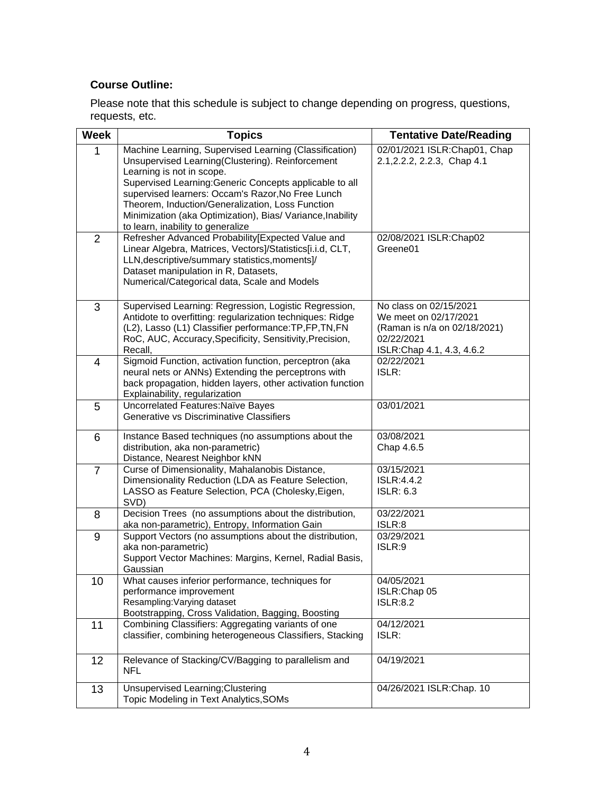# **Course Outline:**

Please note that this schedule is subject to change depending on progress, questions, requests, etc.

| <b>Week</b>    | <b>Topics</b>                                                                                                       | <b>Tentative Date/Reading</b>              |
|----------------|---------------------------------------------------------------------------------------------------------------------|--------------------------------------------|
| 1              | Machine Learning, Supervised Learning (Classification)                                                              | 02/01/2021 ISLR: Chap01, Chap              |
|                | Unsupervised Learning(Clustering). Reinforcement                                                                    | 2.1, 2.2. 2, 2.2. 3, Chap 4.1              |
|                | Learning is not in scope.                                                                                           |                                            |
|                | Supervised Learning: Generic Concepts applicable to all<br>supervised learners: Occam's Razor, No Free Lunch        |                                            |
|                | Theorem, Induction/Generalization, Loss Function                                                                    |                                            |
|                | Minimization (aka Optimization), Bias/ Variance, Inability                                                          |                                            |
|                | to learn, inability to generalize                                                                                   |                                            |
| $\overline{2}$ | Refresher Advanced Probability [Expected Value and                                                                  | 02/08/2021 ISLR:Chap02                     |
|                | Linear Algebra, Matrices, Vectors]/Statistics[i.i.d, CLT,                                                           | Greene01                                   |
|                | LLN, descriptive/summary statistics, moments]/<br>Dataset manipulation in R, Datasets,                              |                                            |
|                | Numerical/Categorical data, Scale and Models                                                                        |                                            |
|                |                                                                                                                     |                                            |
| 3              | Supervised Learning: Regression, Logistic Regression,                                                               | No class on 02/15/2021                     |
|                | Antidote to overfitting: regularization techniques: Ridge                                                           | We meet on 02/17/2021                      |
|                | (L2), Lasso (L1) Classifier performance: TP, FP, TN, FN<br>RoC, AUC, Accuracy, Specificity, Sensitivity, Precision, | (Raman is n/a on 02/18/2021)<br>02/22/2021 |
|                | Recall,                                                                                                             | ISLR: Chap 4.1, 4.3, 4.6.2                 |
| 4              | Sigmoid Function, activation function, perceptron (aka                                                              | 02/22/2021                                 |
|                | neural nets or ANNs) Extending the perceptrons with                                                                 | ISLR:                                      |
|                | back propagation, hidden layers, other activation function                                                          |                                            |
|                | Explainability, regularization                                                                                      |                                            |
| 5              | Uncorrelated Features: Naïve Bayes<br>Generative vs Discriminative Classifiers                                      | 03/01/2021                                 |
|                |                                                                                                                     |                                            |
| 6              | Instance Based techniques (no assumptions about the                                                                 | 03/08/2021                                 |
|                | distribution, aka non-parametric)                                                                                   | Chap 4.6.5                                 |
|                | Distance, Nearest Neighbor kNN<br>Curse of Dimensionality, Mahalanobis Distance,                                    | 03/15/2021                                 |
| $\overline{7}$ | Dimensionality Reduction (LDA as Feature Selection,                                                                 | <b>ISLR:4.4.2</b>                          |
|                | LASSO as Feature Selection, PCA (Cholesky, Eigen,                                                                   | <b>ISLR: 6.3</b>                           |
|                | SVD)                                                                                                                |                                            |
| 8              | Decision Trees (no assumptions about the distribution,                                                              | 03/22/2021                                 |
|                | aka non-parametric), Entropy, Information Gain                                                                      | ISLR:8                                     |
| $9\,$          | Support Vectors (no assumptions about the distribution,<br>aka non-parametric)                                      | 03/29/2021<br>ISLR:9                       |
|                | Support Vector Machines: Margins, Kernel, Radial Basis,                                                             |                                            |
|                | Gaussian                                                                                                            |                                            |
| 10             | What causes inferior performance, techniques for                                                                    | 04/05/2021                                 |
|                | performance improvement                                                                                             | ISLR:Chap 05                               |
|                | Resampling: Varying dataset                                                                                         | <b>ISLR:8.2</b>                            |
|                | Bootstrapping, Cross Validation, Bagging, Boosting                                                                  | 04/12/2021                                 |
| 11             | Combining Classifiers: Aggregating variants of one<br>classifier, combining heterogeneous Classifiers, Stacking     | ISLR:                                      |
|                |                                                                                                                     |                                            |
| 12             | Relevance of Stacking/CV/Bagging to parallelism and                                                                 | 04/19/2021                                 |
|                | <b>NFL</b>                                                                                                          |                                            |
| 13             | Unsupervised Learning; Clustering                                                                                   | 04/26/2021 ISLR:Chap. 10                   |
|                | Topic Modeling in Text Analytics, SOMs                                                                              |                                            |
|                |                                                                                                                     |                                            |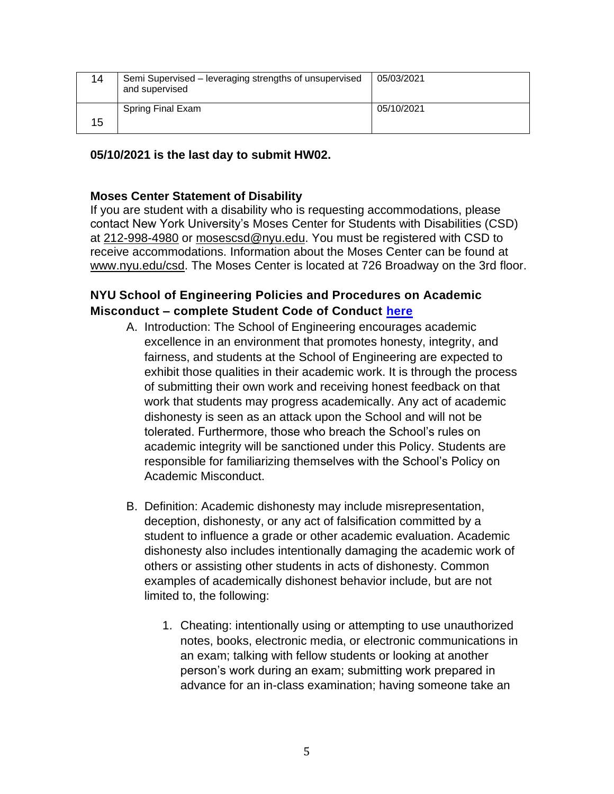| 14 | Semi Supervised – leveraging strengths of unsupervised<br>and supervised | 05/03/2021 |
|----|--------------------------------------------------------------------------|------------|
| 15 | Spring Final Exam                                                        | 05/10/2021 |

# **05/10/2021 is the last day to submit HW02.**

# **Moses Center Statement of Disability**

If you are student with a disability who is requesting accommodations, please contact New York University's Moses Center for Students with Disabilities (CSD) at [212-998-4980](tel:212-998-4980) or [mosescsd@nyu.edu.](mailto:mosescsd@nyu.edu) You must be registered with CSD to receive accommodations. Information about the Moses Center can be found at [www.nyu.edu/csd.](http://www.nyu.edu/csd) The Moses Center is located at 726 Broadway on the 3rd floor.

# **NYU School of Engineering Policies and Procedures on Academic Misconduct – complete Student Code of Conduct [here](https://engineering.nyu.edu/campus-and-community/student-life/office-student-affairs/policies/student-code-conduct)**

- A. Introduction: The School of Engineering encourages academic excellence in an environment that promotes honesty, integrity, and fairness, and students at the School of Engineering are expected to exhibit those qualities in their academic work. It is through the process of submitting their own work and receiving honest feedback on that work that students may progress academically. Any act of academic dishonesty is seen as an attack upon the School and will not be tolerated. Furthermore, those who breach the School's rules on academic integrity will be sanctioned under this Policy. Students are responsible for familiarizing themselves with the School's Policy on Academic Misconduct.
- B. Definition: Academic dishonesty may include misrepresentation, deception, dishonesty, or any act of falsification committed by a student to influence a grade or other academic evaluation. Academic dishonesty also includes intentionally damaging the academic work of others or assisting other students in acts of dishonesty. Common examples of academically dishonest behavior include, but are not limited to, the following:
	- 1. Cheating: intentionally using or attempting to use unauthorized notes, books, electronic media, or electronic communications in an exam; talking with fellow students or looking at another person's work during an exam; submitting work prepared in advance for an in-class examination; having someone take an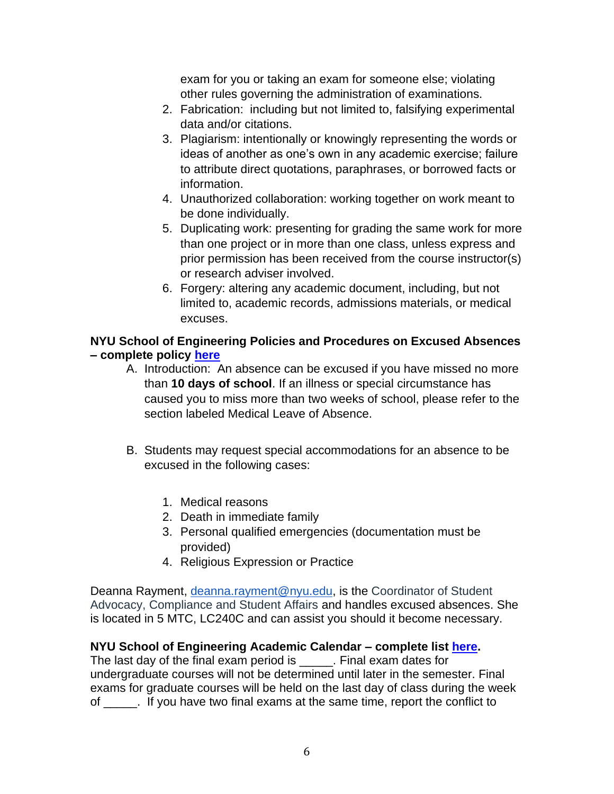exam for you or taking an exam for someone else; violating other rules governing the administration of examinations.

- 2. Fabrication: including but not limited to, falsifying experimental data and/or citations.
- 3. Plagiarism: intentionally or knowingly representing the words or ideas of another as one's own in any academic exercise; failure to attribute direct quotations, paraphrases, or borrowed facts or information.
- 4. Unauthorized collaboration: working together on work meant to be done individually.
- 5. Duplicating work: presenting for grading the same work for more than one project or in more than one class, unless express and prior permission has been received from the course instructor(s) or research adviser involved.
- 6. Forgery: altering any academic document, including, but not limited to, academic records, admissions materials, or medical excuses.

# **NYU School of Engineering Policies and Procedures on Excused Absences – complete policy [here](https://engineering.nyu.edu/campus-and-community/student-life/office-student-affairs/policies#chapter-id-30199)**

- A. Introduction: An absence can be excused if you have missed no more than **10 days of school**. If an illness or special circumstance has caused you to miss more than two weeks of school, please refer to the section labeled Medical Leave of Absence.
- B. Students may request special accommodations for an absence to be excused in the following cases:
	- 1. Medical reasons
	- 2. Death in immediate family
	- 3. Personal qualified emergencies (documentation must be provided)
	- 4. Religious Expression or Practice

Deanna Rayment, [deanna.rayment@nyu.edu,](mailto:deanna.rayment@nyu.edu) is the Coordinator of Student Advocacy, Compliance and Student Affairs and handles excused absences. She is located in 5 MTC, LC240C and can assist you should it become necessary.

# **NYU School of Engineering Academic Calendar – complete list [here.](https://www.nyu.edu/registrar/calendars/university-academic-calendar.html#1198)**

The last day of the final exam period is \_\_\_\_\_\_. Final exam dates for undergraduate courses will not be determined until later in the semester. Final exams for graduate courses will be held on the last day of class during the week of \_\_\_\_\_. If you have two final exams at the same time, report the conflict to